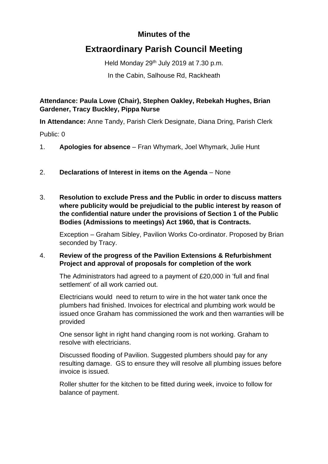## **Minutes of the**

## **Extraordinary Parish Council Meeting**

Held Monday 29<sup>th</sup> July 2019 at 7.30 p.m.

In the Cabin, Salhouse Rd, Rackheath

**Attendance: Paula Lowe (Chair), Stephen Oakley, Rebekah Hughes, Brian Gardener, Tracy Buckley, Pippa Nurse**

**In Attendance:** Anne Tandy, Parish Clerk Designate, Diana Dring, Parish Clerk

Public: 0

- 1. **Apologies for absence** Fran Whymark, Joel Whymark, Julie Hunt
- 2. **Declarations of Interest in items on the Agenda** None
- 3. **Resolution to exclude Press and the Public in order to discuss matters where publicity would be prejudicial to the public interest by reason of the confidential nature under the provisions of Section 1 of the Public Bodies (Admissions to meetings) Act 1960, that is Contracts.**

Exception – Graham Sibley, Pavilion Works Co-ordinator. Proposed by Brian seconded by Tracy.

## 4. **Review of the progress of the Pavilion Extensions & Refurbishment Project and approval of proposals for completion of the work**

The Administrators had agreed to a payment of £20,000 in 'full and final settlement' of all work carried out.

Electricians would need to return to wire in the hot water tank once the plumbers had finished. Invoices for electrical and plumbing work would be issued once Graham has commissioned the work and then warranties will be provided

One sensor light in right hand changing room is not working. Graham to resolve with electricians.

Discussed flooding of Pavilion. Suggested plumbers should pay for any resulting damage. GS to ensure they will resolve all plumbing issues before invoice is issued.

Roller shutter for the kitchen to be fitted during week, invoice to follow for balance of payment.